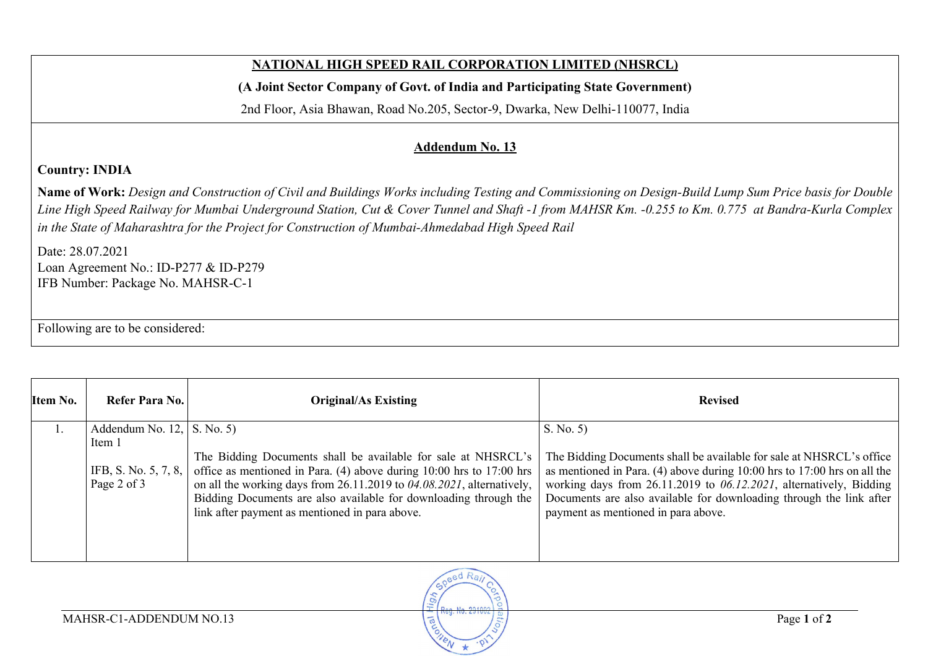## **NATIONAL HIGH SPEED RAIL CORPORATION LIMITED (NHSRCL)**

## **(A Joint Sector Company of Govt. of India and Participating State Government)**

2nd Floor, Asia Bhawan, Road No.205, Sector-9, Dwarka, New Delhi-110077, India

## **Addendum No. 13**

## **Country: INDIA**

**Name of Work:** *Design and Construction of Civil and Buildings Works including Testing and Commissioning on Design-Build Lump Sum Price basis for Double Line High Speed Railway for Mumbai Underground Station, Cut & Cover Tunnel and Shaft -1 from MAHSR Km. -0.255 to Km. 0.775 at Bandra-Kurla Complex in the State of Maharashtra for the Project for Construction of Mumbai-Ahmedabad High Speed Rail*

Date: 28.07.2021 Loan Agreement No.: ID-P277 & ID-P279 IFB Number: Package No. MAHSR-C-1

Following are to be considered:

| Item No. | Refer Para No.                      | <b>Original/As Existing</b>                                                                                                                                                                                                                                                                                                             | <b>Revised</b>                                                                                                                                                                                                                                                                                                                           |
|----------|-------------------------------------|-----------------------------------------------------------------------------------------------------------------------------------------------------------------------------------------------------------------------------------------------------------------------------------------------------------------------------------------|------------------------------------------------------------------------------------------------------------------------------------------------------------------------------------------------------------------------------------------------------------------------------------------------------------------------------------------|
|          | Addendum No. $12$ , S. No. 5)       |                                                                                                                                                                                                                                                                                                                                         | S. No. 5)                                                                                                                                                                                                                                                                                                                                |
|          | Item 1                              |                                                                                                                                                                                                                                                                                                                                         |                                                                                                                                                                                                                                                                                                                                          |
|          | IFB, S. No. 5, 7, 8,<br>Page 2 of 3 | The Bidding Documents shall be available for sale at NHSRCL's<br>office as mentioned in Para. (4) above during 10:00 hrs to 17:00 hrs<br>on all the working days from 26.11.2019 to $04.08.2021$ , alternatively,<br>Bidding Documents are also available for downloading through the<br>link after payment as mentioned in para above. | The Bidding Documents shall be available for sale at NHSRCL's office<br>as mentioned in Para. (4) above during $10:00$ hrs to $17:00$ hrs on all the<br>working days from 26.11.2019 to 06.12.2021, alternatively, Bidding<br>Documents are also available for downloading through the link after<br>payment as mentioned in para above. |
|          |                                     |                                                                                                                                                                                                                                                                                                                                         |                                                                                                                                                                                                                                                                                                                                          |

eed Raj